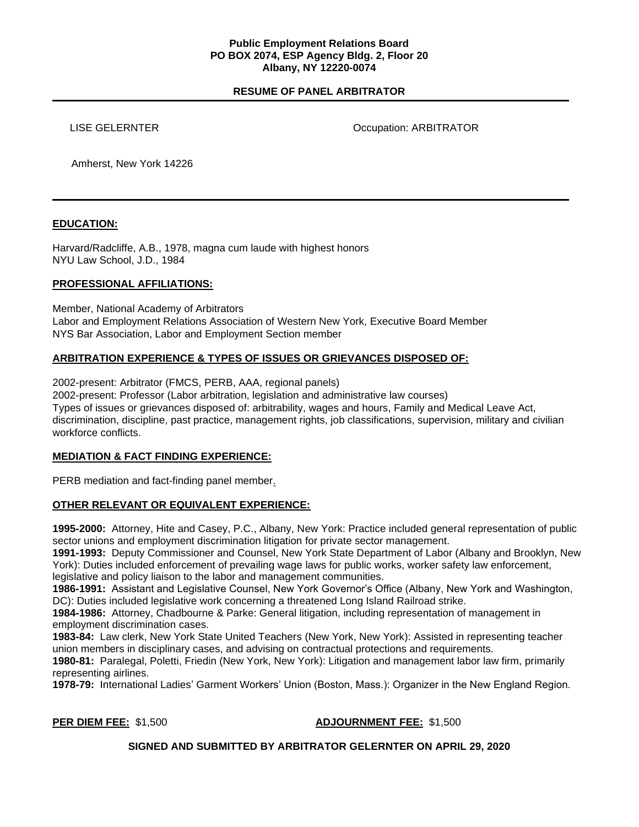### **Public Employment Relations Board PO BOX 2074, ESP Agency Bldg. 2, Floor 20 Albany, NY 12220-0074**

# **RESUME OF PANEL ARBITRATOR**

LISE GELERNTER **COMPANY** CONTROLLING COMPANY OCCUPATION

Amherst, New York 14226

## **EDUCATION:**

Harvard/Radcliffe, A.B., 1978, magna cum laude with highest honors NYU Law School, J.D., 1984

## **PROFESSIONAL AFFILIATIONS:**

Member, National Academy of Arbitrators Labor and Employment Relations Association of Western New York, Executive Board Member NYS Bar Association, Labor and Employment Section member

# **ARBITRATION EXPERIENCE & TYPES OF ISSUES OR GRIEVANCES DISPOSED OF:**

2002-present: Arbitrator (FMCS, PERB, AAA, regional panels)

2002-present: Professor (Labor arbitration, legislation and administrative law courses) Types of issues or grievances disposed of: arbitrability, wages and hours, Family and Medical Leave Act, discrimination, discipline, past practice, management rights, job classifications, supervision, military and civilian workforce conflicts.

### **MEDIATION & FACT FINDING EXPERIENCE:**

PERB mediation and fact-finding panel member.

# **OTHER RELEVANT OR EQUIVALENT EXPERIENCE:**

**1995-2000:** Attorney, Hite and Casey, P.C., Albany, New York: Practice included general representation of public sector unions and employment discrimination litigation for private sector management.

**1991-1993:** Deputy Commissioner and Counsel, New York State Department of Labor (Albany and Brooklyn, New York): Duties included enforcement of prevailing wage laws for public works, worker safety law enforcement, legislative and policy liaison to the labor and management communities.

**1986-1991:** Assistant and Legislative Counsel, New York Governor's Office (Albany, New York and Washington, DC): Duties included legislative work concerning a threatened Long Island Railroad strike.

**1984-1986:** Attorney, Chadbourne & Parke: General litigation, including representation of management in employment discrimination cases.

**1983-84:** Law clerk, New York State United Teachers (New York, New York): Assisted in representing teacher union members in disciplinary cases, and advising on contractual protections and requirements.

**1980-81:** Paralegal, Poletti, Friedin (New York, New York): Litigation and management labor law firm, primarily representing airlines.

**1978-79:** International Ladies' Garment Workers' Union (Boston, Mass.): Organizer in the New England Region.

### **PER DIEM FEE:** \$1,500 **ADJOURNMENT FEE:** \$1,500

### **SIGNED AND SUBMITTED BY ARBITRATOR GELERNTER ON APRIL 29, 2020**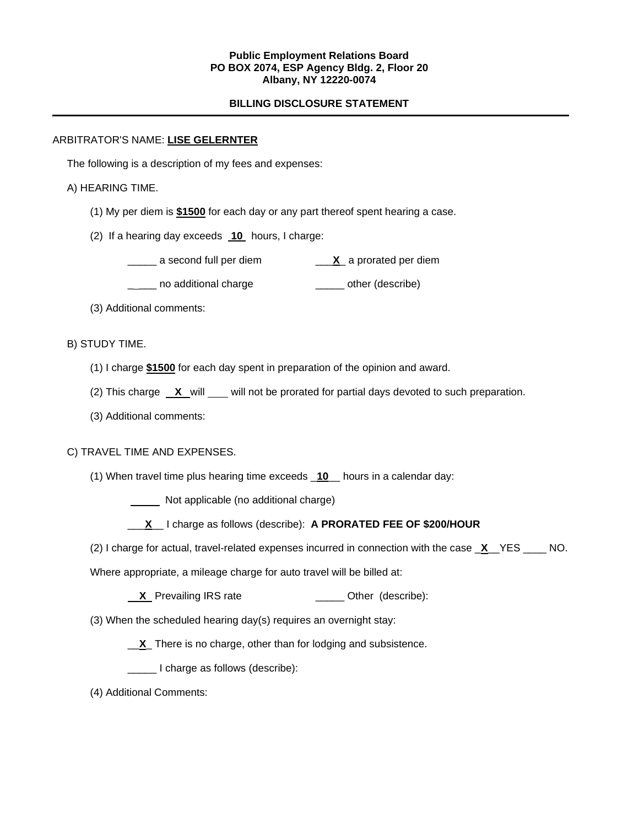## **Public Employment Relations Board PO BOX 2074, ESP Agency Bldg. 2, Floor 20 Albany, NY 12220-0074**

## **BILLING DISCLOSURE STATEMENT**

#### ARBITRATOR'S NAME: **LISE GELERNTER**

The following is a description of my fees and expenses:

## A) HEARING TIME.

- (1) My per diem is **\$1500** for each day or any part thereof spent hearing a case.
- (2) If a hearing day exceeds **10** hours, I charge:
	- \_\_\_\_\_ a second full per diem \_\_\_**X**\_ a prorated per diem
	- \_\_\_\_ no additional charge \_\_\_\_\_\_\_ other (describe)
- (3) Additional comments:

## B) STUDY TIME.

- (1) I charge **\$1500** for each day spent in preparation of the opinion and award.
- (2) This charge **X** will will not be prorated for partial days devoted to such preparation.
- (3) Additional comments:

### C) TRAVEL TIME AND EXPENSES.

(1) When travel time plus hearing time exceeds \_**10**\_\_ hours in a calendar day:

**Not applicable (no additional charge)** 

- \_\_\_**X**\_\_ I charge as follows (describe): **A PRORATED FEE OF \$200/HOUR**
- (2) I charge for actual, travel-related expenses incurred in connection with the case \_**X**\_\_YES \_\_\_\_ NO.

Where appropriate, a mileage charge for auto travel will be billed at:

- **X** Prevailing IRS rate \_\_\_\_\_\_\_\_\_\_\_\_\_\_\_\_\_ Other (describe):
- (3) When the scheduled hearing day(s) requires an overnight stay:

\_\_**X**\_ There is no charge, other than for lodging and subsistence.

\_\_\_\_\_ I charge as follows (describe):

(4) Additional Comments: